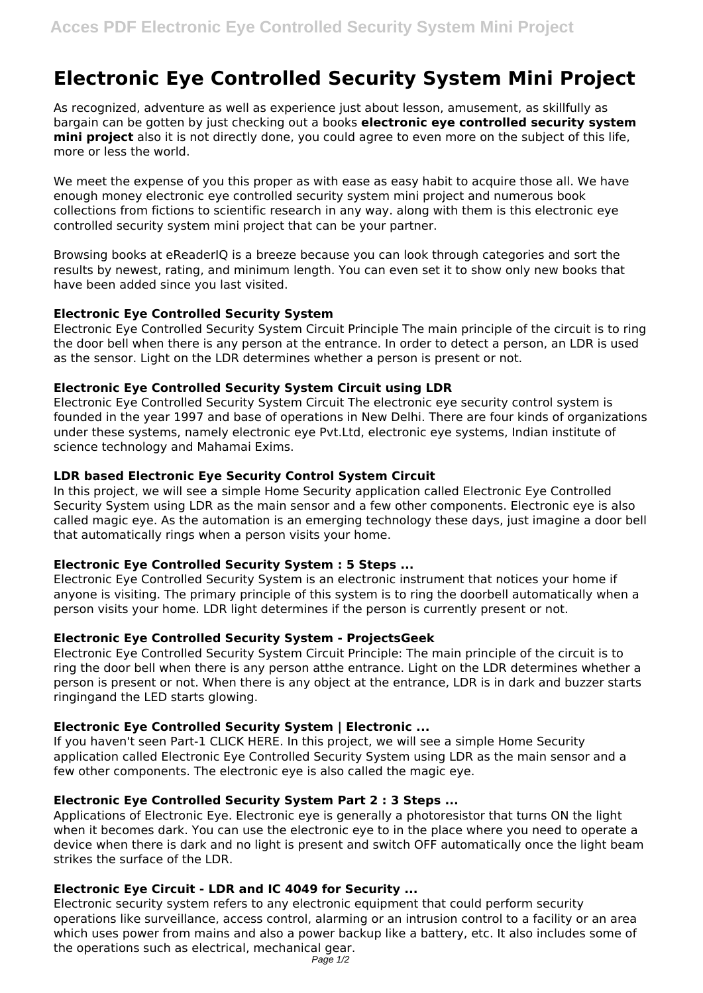# **Electronic Eye Controlled Security System Mini Project**

As recognized, adventure as well as experience just about lesson, amusement, as skillfully as bargain can be gotten by just checking out a books **electronic eye controlled security system mini project** also it is not directly done, you could agree to even more on the subject of this life, more or less the world.

We meet the expense of you this proper as with ease as easy habit to acquire those all. We have enough money electronic eye controlled security system mini project and numerous book collections from fictions to scientific research in any way. along with them is this electronic eye controlled security system mini project that can be your partner.

Browsing books at eReaderIQ is a breeze because you can look through categories and sort the results by newest, rating, and minimum length. You can even set it to show only new books that have been added since you last visited.

## **Electronic Eye Controlled Security System**

Electronic Eye Controlled Security System Circuit Principle The main principle of the circuit is to ring the door bell when there is any person at the entrance. In order to detect a person, an LDR is used as the sensor. Light on the LDR determines whether a person is present or not.

# **Electronic Eye Controlled Security System Circuit using LDR**

Electronic Eye Controlled Security System Circuit The electronic eye security control system is founded in the year 1997 and base of operations in New Delhi. There are four kinds of organizations under these systems, namely electronic eye Pvt.Ltd, electronic eye systems, Indian institute of science technology and Mahamai Exims.

## **LDR based Electronic Eye Security Control System Circuit**

In this project, we will see a simple Home Security application called Electronic Eye Controlled Security System using LDR as the main sensor and a few other components. Electronic eye is also called magic eye. As the automation is an emerging technology these days, just imagine a door bell that automatically rings when a person visits your home.

#### **Electronic Eye Controlled Security System : 5 Steps ...**

Electronic Eye Controlled Security System is an electronic instrument that notices your home if anyone is visiting. The primary principle of this system is to ring the doorbell automatically when a person visits your home. LDR light determines if the person is currently present or not.

# **Electronic Eye Controlled Security System - ProjectsGeek**

Electronic Eye Controlled Security System Circuit Principle: The main principle of the circuit is to ring the door bell when there is any person atthe entrance. Light on the LDR determines whether a person is present or not. When there is any object at the entrance, LDR is in dark and buzzer starts ringingand the LED starts glowing.

# **Electronic Eye Controlled Security System | Electronic ...**

If you haven't seen Part-1 CLICK HERE. In this project, we will see a simple Home Security application called Electronic Eye Controlled Security System using LDR as the main sensor and a few other components. The electronic eye is also called the magic eye.

# **Electronic Eye Controlled Security System Part 2 : 3 Steps ...**

Applications of Electronic Eye. Electronic eye is generally a photoresistor that turns ON the light when it becomes dark. You can use the electronic eye to in the place where you need to operate a device when there is dark and no light is present and switch OFF automatically once the light beam strikes the surface of the LDR.

# **Electronic Eye Circuit - LDR and IC 4049 for Security ...**

Electronic security system refers to any electronic equipment that could perform security operations like surveillance, access control, alarming or an intrusion control to a facility or an area which uses power from mains and also a power backup like a battery, etc. It also includes some of the operations such as electrical, mechanical gear.

Page 1/2